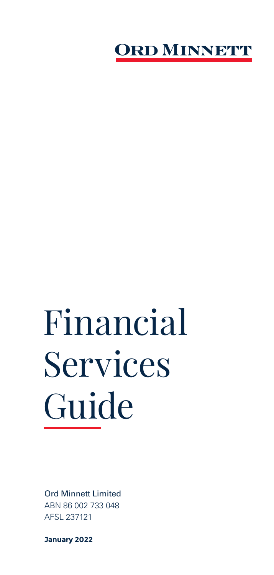

# Financial Services Guide

Ord Minnett Limited ABN 86 002 733 048 AFSL 237121

**January 2022**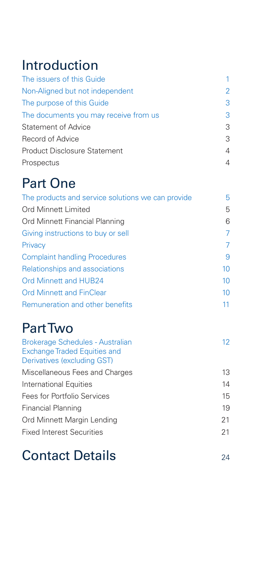## Introduction

| The issuers of this Guide             |   |
|---------------------------------------|---|
| Non-Aligned but not independent       | 2 |
| The purpose of this Guide             | 3 |
| The documents you may receive from us | 3 |
| <b>Statement of Advice</b>            | 3 |
| Record of Advice                      | 3 |
| <b>Product Disclosure Statement</b>   | 4 |
| Prospectus                            | 4 |

## Part One

| The products and service solutions we can provide | 5  |
|---------------------------------------------------|----|
| Ord Minnett Limited                               | 5  |
| Ord Minnett Financial Planning                    | 6  |
| Giving instructions to buy or sell                | 7  |
| Privacy                                           | 7  |
| <b>Complaint handling Procedures</b>              | 9  |
| Relationships and associations                    | 10 |
| <b>Ord Minnett and HUB24</b>                      | 10 |
| <b>Ord Minnett and FinClear</b>                   | 10 |
| Remuneration and other benefits                   | 11 |

## Part Two

| <b>Brokerage Schedules - Australian</b><br><b>Exchange Traded Equities and</b> | 12 |
|--------------------------------------------------------------------------------|----|
| Derivatives (excluding GST)                                                    |    |
| Miscellaneous Fees and Charges                                                 | 13 |
| International Equities                                                         | 14 |
| Fees for Portfolio Services                                                    | 15 |
| Financial Planning                                                             | 19 |
| Ord Minnett Margin Lending                                                     | 21 |
| <b>Fixed Interest Securities</b>                                               | 21 |
|                                                                                |    |

## Contact Details 24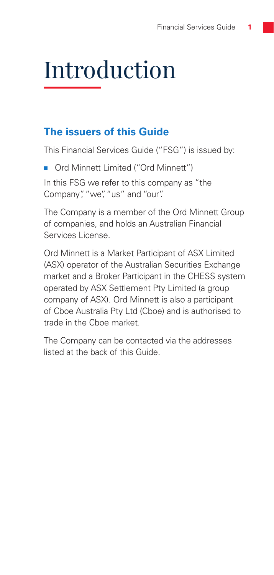## Introduction

## **The issuers of this Guide**

This Financial Services Guide ("FSG") is issued by:

Ord Minnett Limited ("Ord Minnett")

In this FSG we refer to this company as "the Company", "we", "us" and "our".

The Company is a member of the Ord Minnett Group of companies, and holds an Australian Financial Services License.

Ord Minnett is a Market Participant of ASX Limited (ASX) operator of the Australian Securities Exchange market and a Broker Participant in the CHESS system operated by ASX Settlement Pty Limited (a group company of ASX). Ord Minnett is also a participant of Cboe Australia Pty Ltd (Cboe) and is authorised to trade in the Cboe market.

The Company can be contacted via the addresses listed at the back of this Guide.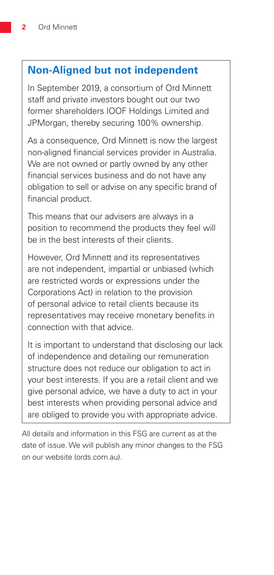## **Non-Aligned but not independent**

In September 2019, a consortium of Ord Minnett staff and private investors bought out our two former shareholders IOOF Holdings Limited and JPMorgan, thereby securing 100% ownership.

As a consequence, Ord Minnett is now the largest non-aligned financial services provider in Australia. We are not owned or partly owned by any other financial services business and do not have any obligation to sell or advise on any specific brand of financial product.

This means that our advisers are always in a position to recommend the products they feel will be in the best interests of their clients.

However, Ord Minnett and its representatives are not independent, impartial or unbiased (which are restricted words or expressions under the Corporations Act) in relation to the provision of personal advice to retail clients because its representatives may receive monetary benefits in connection with that advice.

It is important to understand that disclosing our lack of independence and detailing our remuneration structure does not reduce our obligation to act in your best interests. If you are a retail client and we give personal advice, we have a duty to act in your best interests when providing personal advice and are obliged to provide you with appropriate advice.

All details and information in this FSG are current as at the date of issue. We will publish any minor changes to the FSG on our website (ords.com.au).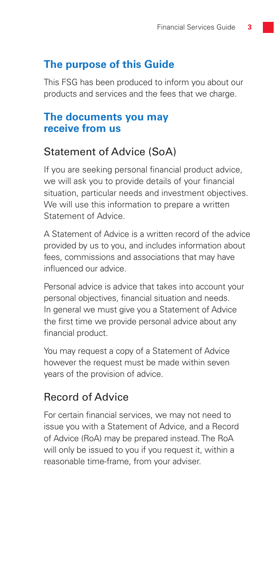## **The purpose of this Guide**

This FSG has been produced to inform you about our products and services and the fees that we charge.

### **The documents you may receive from us**

## Statement of Advice (SoA)

If you are seeking personal financial product advice, we will ask you to provide details of your financial situation, particular needs and investment objectives. We will use this information to prepare a written Statement of Advice.

A Statement of Advice is a written record of the advice provided by us to you, and includes information about fees, commissions and associations that may have influenced our advice.

Personal advice is advice that takes into account your personal objectives, financial situation and needs. In general we must give you a Statement of Advice the first time we provide personal advice about any financial product.

You may request a copy of a Statement of Advice however the request must be made within seven years of the provision of advice.

## Record of Advice

For certain financial services, we may not need to issue you with a Statement of Advice, and a Record of Advice (RoA) may be prepared instead. The RoA will only be issued to you if you request it, within a reasonable time-frame, from your adviser.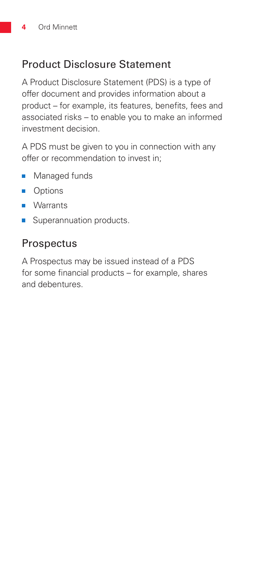## Product Disclosure Statement

A Product Disclosure Statement (PDS) is a type of offer document and provides information about a product – for example, its features, benefits, fees and associated risks – to enable you to make an informed investment decision.

A PDS must be given to you in connection with any offer or recommendation to invest in;

- $\overline{\phantom{a}}$ Managed funds
- **Options**
- **Narrants**
- **Superannuation products.**

## **Prospectus**

A Prospectus may be issued instead of a PDS for some financial products – for example, shares and debentures.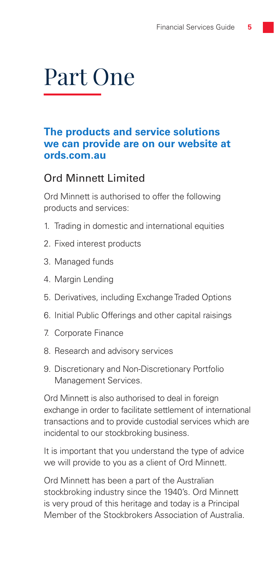## Part One

## **The products and service solutions we can provide are on our website at ords.com.au**

## Ord Minnett Limited

Ord Minnett is authorised to offer the following products and services:

- 1. Trading in domestic and international equities
- 2. Fixed interest products
- 3. Managed funds
- 4. Margin Lending
- 5. Derivatives, including Exchange Traded Options
- 6. Initial Public Offerings and other capital raisings
- 7. Corporate Finance
- 8. Research and advisory services
- 9. Discretionary and Non-Discretionary Portfolio Management Services.

Ord Minnett is also authorised to deal in foreign exchange in order to facilitate settlement of international transactions and to provide custodial services which are incidental to our stockbroking business.

It is important that you understand the type of advice we will provide to you as a client of Ord Minnett.

Ord Minnett has been a part of the Australian stockbroking industry since the 1940's. Ord Minnett is very proud of this heritage and today is a Principal Member of the Stockbrokers Association of Australia.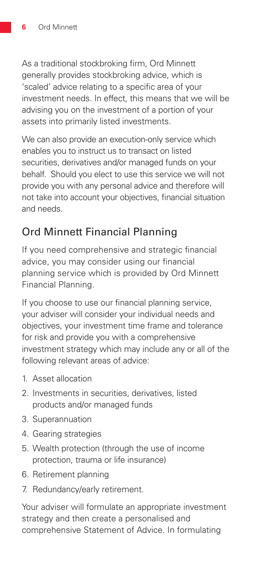As a traditional stockbroking firm, Ord Minnett generally provides stockbroking advice, which is 'scaled' advice relating to a specific area of your investment needs. In effect, this means that we will be advising you on the investment of a portion of your assets into primarily listed investments.

We can also provide an execution-only service which enables you to instruct us to transact on listed securities, derivatives and/or managed funds on your behalf. Should you elect to use this service we will not provide you with any personal advice and therefore will not take into account your objectives, financial situation and needs.

## Ord Minnett Financial Planning

If you need comprehensive and strategic financial advice, you may consider using our financial planning service which is provided by Ord Minnett Financial Planning.

If you choose to use our financial planning service, your adviser will consider your individual needs and objectives, your investment time frame and tolerance for risk and provide you with a comprehensive investment strategy which may include any or all of the following relevant areas of advice:

- 1. Asset allocation
- 2. Investments in securities, derivatives, listed products and/or managed funds
- 3. Superannuation
- 4. Gearing strategies
- 5. Wealth protection (through the use of income protection, trauma or life insurance)
- 6. Retirement planning
- 7. Redundancy/early retirement.

Your adviser will formulate an appropriate investment strategy and then create a personalised and comprehensive Statement of Advice. In formulating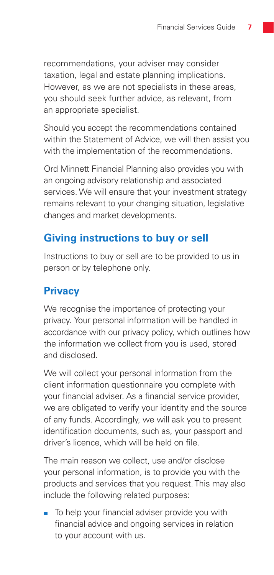recommendations, your adviser may consider taxation, legal and estate planning implications. However, as we are not specialists in these areas, you should seek further advice, as relevant, from an appropriate specialist.

Should you accept the recommendations contained within the Statement of Advice, we will then assist you with the implementation of the recommendations.

Ord Minnett Financial Planning also provides you with an ongoing advisory relationship and associated services. We will ensure that your investment strategy remains relevant to your changing situation, legislative changes and market developments.

## **Giving instructions to buy or sell**

Instructions to buy or sell are to be provided to us in person or by telephone only.

## **Privacy**

We recognise the importance of protecting your privacy. Your personal information will be handled in accordance with our privacy policy, which outlines how the information we collect from you is used, stored and disclosed.

We will collect your personal information from the client information questionnaire you complete with your financial adviser. As a financial service provider, we are obligated to verify your identity and the source of any funds. Accordingly, we will ask you to present identification documents, such as, your passport and driver's licence, which will be held on file.

The main reason we collect, use and/or disclose your personal information, is to provide you with the products and services that you request. This may also include the following related purposes:

■ To help your financial adviser provide you with financial advice and ongoing services in relation to your account with us.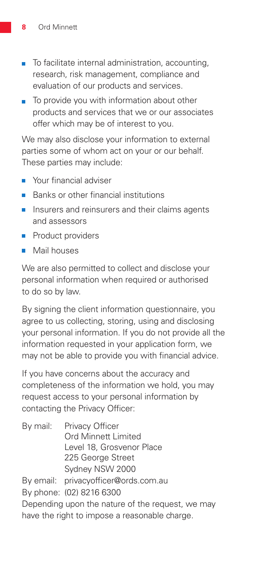- To facilitate internal administration, accounting, research, risk management, compliance and evaluation of our products and services.
- To provide you with information about other products and services that we or our associates offer which may be of interest to you.

We may also disclose your information to external parties some of whom act on your or our behalf. These parties may include:

- Your financial adviser
- Banks or other financial institutions
- Ē Insurers and reinsurers and their claims agents and assessors
- Product providers  $\blacksquare$
- **Mail houses**

We are also permitted to collect and disclose your personal information when required or authorised to do so by law.

By signing the client information questionnaire, you agree to us collecting, storing, using and disclosing your personal information. If you do not provide all the information requested in your application form, we may not be able to provide you with financial advice.

If you have concerns about the accuracy and completeness of the information we hold, you may request access to your personal information by contacting the Privacy Officer:

| By mail: Privacy Officer                         |
|--------------------------------------------------|
| Ord Minnett Limited                              |
| Level 18, Grosvenor Place                        |
| 225 George Street                                |
| Sydney NSW 2000                                  |
| By email: privacyofficer@ords.com.au             |
| By phone: (02) 8216 6300                         |
| Depending upon the nature of the request, we may |
| have the right to impose a reasonable charge.    |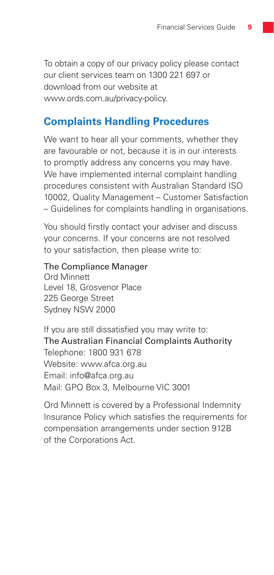To obtain a copy of our privacy policy please contact our client services team on 1300 221 697 or download from our website at www.ords.com.au/privacy-policy.

### **Complaints Handling Procedures**

We want to hear all your comments, whether they are favourable or not, because it is in our interests to promptly address any concerns you may have. We have implemented internal complaint handling procedures consistent with Australian Standard ISO 10002, Quality Management – Customer Satisfaction – Guidelines for complaints handling in organisations.

You should firstly contact your adviser and discuss your concerns. If your concerns are not resolved to your satisfaction, then please write to:

#### The Compliance Manager

Ord Minnett Level 18, Grosvenor Place 225 George Street Sydney NSW 2000

If you are still dissatisfied you may write to: The Australian Financial Complaints Authority Telephone: 1800 931 678 Website: www.afca.org.au Email: info@afca.org.au Mail: GPO Box 3, Melbourne VIC 3001

Ord Minnett is covered by a Professional Indemnity Insurance Policy which satisfies the requirements for compensation arrangements under section 912B of the Corporations Act.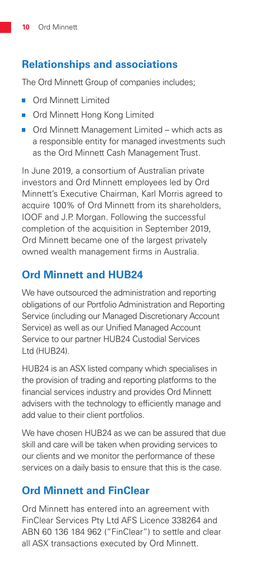## **Relationships and associations**

The Ord Minnett Group of companies includes;

- Ord Minnett Limited
- Ord Minnett Hong Kong Limited
- Ord Minnett Management Limited which acts as a responsible entity for managed investments such as the Ord Minnett Cash Management Trust.

In June 2019, a consortium of Australian private investors and Ord Minnett employees led by Ord Minnett's Executive Chairman, Karl Morris agreed to acquire 100% of Ord Minnett from its shareholders, IOOF and J.P. Morgan. Following the successful completion of the acquisition in September 2019, Ord Minnett became one of the largest privately owned wealth management firms in Australia.

## **Ord Minnett and HUB24**

We have outsourced the administration and reporting obligations of our Portfolio Administration and Reporting Service (including our Managed Discretionary Account Service) as well as our Unified Managed Account Service to our partner HUB24 Custodial Services Ltd (HUB24).

HUB24 is an ASX listed company which specialises in the provision of trading and reporting platforms to the financial services industry and provides Ord Minnett advisers with the technology to efficiently manage and add value to their client portfolios.

We have chosen HUB24 as we can be assured that due skill and care will be taken when providing services to our clients and we monitor the performance of these services on a daily basis to ensure that this is the case.

## **Ord Minnett and FinClear**

Ord Minnett has entered into an agreement with FinClear Services Pty Ltd AFS Licence 338264 and ABN 60 136 184 962 ("FinClear") to settle and clear all ASX transactions executed by Ord Minnett.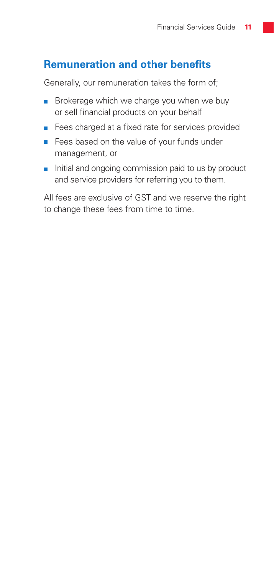## **Remuneration and other benefits**

Generally, our remuneration takes the form of;

- Brokerage which we charge you when we buy or sell financial products on your behalf
- Fees charged at a fixed rate for services provided П
- Fees based on the value of your funds under management, or
- $\blacksquare$  Initial and ongoing commission paid to us by product and service providers for referring you to them.

All fees are exclusive of GST and we reserve the right to change these fees from time to time.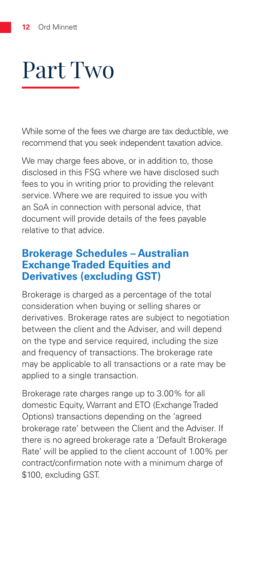## Part Two

While some of the fees we charge are tax deductible, we recommend that you seek independent taxation advice.

We may charge fees above, or in addition to, those disclosed in this FSG where we have disclosed such fees to you in writing prior to providing the relevant service. Where we are required to issue you with an SoA in connection with personal advice, that document will provide details of the fees payable relative to that advice.

## **Brokerage Schedules – Australian Exchange Traded Equities and Derivatives (excluding GST)**

Brokerage is charged as a percentage of the total consideration when buying or selling shares or derivatives. Brokerage rates are subject to negotiation between the client and the Adviser, and will depend on the type and service required, including the size and frequency of transactions. The brokerage rate may be applicable to all transactions or a rate may be applied to a single transaction.

Brokerage rate charges range up to 3.00% for all domestic Equity, Warrant and ETO (Exchange Traded Options) transactions depending on the 'agreed brokerage rate' between the Client and the Adviser. If there is no agreed brokerage rate a 'Default Brokerage Rate' will be applied to the client account of 1.00% per contract/confirmation note with a minimum charge of \$100, excluding GST.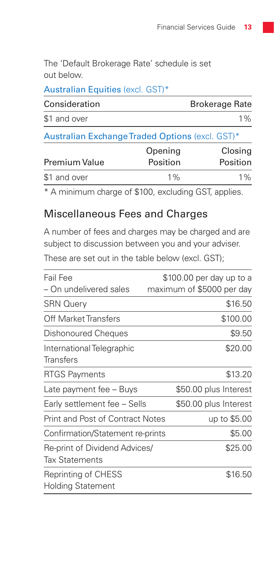The 'Default Brokerage Rate' schedule is set out below.

| Australian Equities (excl. GST)*                |                     |                       |
|-------------------------------------------------|---------------------|-----------------------|
| Consideration                                   |                     | <b>Brokerage Rate</b> |
| \$1 and over                                    |                     | $1\%$                 |
| Australian Exchange Traded Options (excl. GST)* |                     |                       |
| <b>Premium Value</b>                            | Opening<br>Position | Closing<br>Position   |

\$1 and over 1% 1% 1% \* A minimum charge of \$100, excluding GST, applies.

## Miscellaneous Fees and Charges

A number of fees and charges may be charged and are subject to discussion between you and your adviser.

These are set out in the table below (excl. GST);

| Fail Fee                         | \$100.00 per day up to a  |
|----------------------------------|---------------------------|
| – On undelivered sales           | maximum of \$5000 per day |
| <b>SRN Query</b>                 | \$16.50                   |
| Off Market Transfers             | \$100.00                  |
| Dishonoured Cheques              | \$9.50                    |
| International Telegraphic        | \$20.00                   |
| Transfers                        |                           |
| <b>RTGS Payments</b>             | \$13.20                   |
| Late payment fee - Buys          | \$50.00 plus Interest     |
| Early settlement fee - Sells     | \$50.00 plus Interest     |
| Print and Post of Contract Notes | up to \$5.00              |
| Confirmation/Statement re-prints | \$5.00                    |
| Re-print of Dividend Advices/    | \$25.00                   |
| <b>Tax Statements</b>            |                           |
| Reprinting of CHESS              | \$16.50                   |
| <b>Holding Statement</b>         |                           |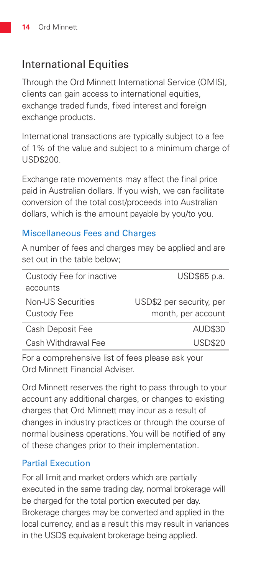## International Equities

Through the Ord Minnett International Service (OMIS), clients can gain access to international equities. exchange traded funds, fixed interest and foreign exchange products.

International transactions are typically subject to a fee of 1% of the value and subject to a minimum charge of USD\$200.

Exchange rate movements may affect the final price paid in Australian dollars. If you wish, we can facilitate conversion of the total cost/proceeds into Australian dollars, which is the amount payable by you/to you.

#### Miscellaneous Fees and Charges

A number of fees and charges may be applied and are set out in the table below:

| Custody Fee for inactive | USD\$65 p.a.             |
|--------------------------|--------------------------|
| accounts                 |                          |
| Non-US Securities        | USD\$2 per security, per |
| Custody Fee              | month, per account       |
| Cash Deposit Fee         | <b>AUD\$30</b>           |
| Cash Withdrawal Fee      | USD\$20                  |

For a comprehensive list of fees please ask your Ord Minnett Financial Adviser.

Ord Minnett reserves the right to pass through to your account any additional charges, or changes to existing charges that Ord Minnett may incur as a result of changes in industry practices or through the course of normal business operations. You will be notified of any of these changes prior to their implementation.

#### Partial Execution

For all limit and market orders which are partially executed in the same trading day, normal brokerage will be charged for the total portion executed per day. Brokerage charges may be converted and applied in the local currency, and as a result this may result in variances in the USD\$ equivalent brokerage being applied.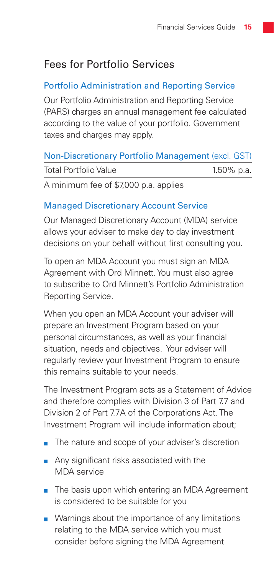## Fees for Portfolio Services

#### Portfolio Administration and Reporting Service

Our Portfolio Administration and Reporting Service (PARS) charges an annual management fee calculated according to the value of your portfolio. Government taxes and charges may apply.

#### Non-Discretionary Portfolio Management (excl. GST)

| <b>Total Portfolio Value</b>          | 1.50% p.a. |
|---------------------------------------|------------|
| A minimum fee of \$7,000 p.a. applies |            |

#### Managed Discretionary Account Service

Our Managed Discretionary Account (MDA) service allows your adviser to make day to day investment decisions on your behalf without first consulting you.

To open an MDA Account you must sign an MDA Agreement with Ord Minnett. You must also agree to subscribe to Ord Minnett's Portfolio Administration Reporting Service.

When you open an MDA Account your adviser will prepare an Investment Program based on your personal circumstances, as well as your financial situation, needs and objectives. Your adviser will regularly review your Investment Program to ensure this remains suitable to your needs.

The Investment Program acts as a Statement of Advice and therefore complies with Division 3 of Part 7.7 and Division 2 of Part 7.7A of the Corporations Act. The Investment Program will include information about;

- The nature and scope of your adviser's discretion
- Any significant risks associated with the MDA service
- The basis upon which entering an MDA Agreement is considered to be suitable for you
- **Namings about the importance of any limitations** relating to the MDA service which you must consider before signing the MDA Agreement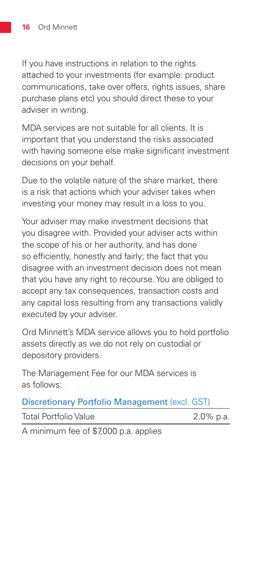If you have instructions in relation to the rights attached to your investments (for example: product communications, take over offers, rights issues, share purchase plans etc) you should direct these to your adviser in writing.

MDA services are not suitable for all clients. It is important that you understand the risks associated with having someone else make significant investment decisions on your behalf.

Due to the volatile nature of the share market, there is a risk that actions which your adviser takes when investing your money may result in a loss to you.

Your adviser may make investment decisions that you disagree with. Provided your adviser acts within the scope of his or her authority, and has done so efficiently, honestly and fairly; the fact that you disagree with an investment decision does not mean that you have any right to recourse. You are obliged to accept any tax consequences, transaction costs and any capital loss resulting from any transactions validly executed by your adviser.

Ord Minnett's MDA service allows you to hold portfolio assets directly as we do not rely on custodial or depository providers.

The Management Fee for our MDA services is as follows:

|  |  | <b>Discretionary Portfolio Management (excl. GST)</b> |  |  |
|--|--|-------------------------------------------------------|--|--|
|--|--|-------------------------------------------------------|--|--|

| <b>Total Portfolio Value</b> | 2.0% p.a. |
|------------------------------|-----------|
|                              |           |

A minimum fee of \$7,000 p.a. applies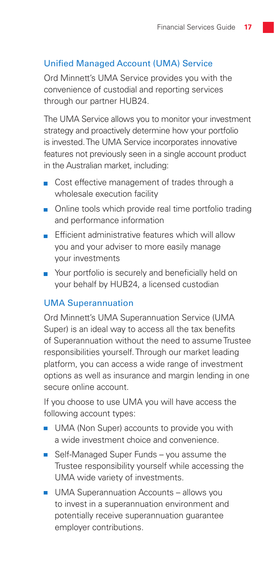#### Unified Managed Account (UMA) Service

Ord Minnett's UMA Service provides you with the convenience of custodial and reporting services through our partner HUB24.

The UMA Service allows you to monitor your investment strategy and proactively determine how your portfolio is invested. The UMA Service incorporates innovative features not previously seen in a single account product in the Australian market, including:

- Cost effective management of trades through a wholesale execution facility
- Online tools which provide real time portfolio trading and performance information
- $\blacksquare$  Efficient administrative features which will allow you and your adviser to more easily manage your investments
- Your portfolio is securely and beneficially held on your behalf by HUB24, a licensed custodian

#### UMA Superannuation

Ord Minnett's UMA Superannuation Service (UMA Super) is an ideal way to access all the tax benefits of Superannuation without the need to assume Trustee responsibilities yourself. Through our market leading platform, you can access a wide range of investment options as well as insurance and margin lending in one secure online account.

If you choose to use UMA you will have access the following account types:

- UMA (Non Super) accounts to provide you with a wide investment choice and convenience.
- Self-Managed Super Funds you assume the Trustee responsibility yourself while accessing the UMA wide variety of investments.
- **UMA Superannuation Accounts allows you** to invest in a superannuation environment and potentially receive superannuation guarantee employer contributions.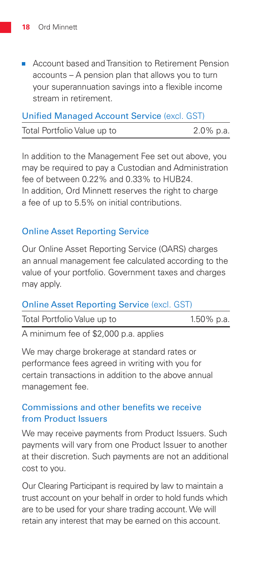**Account based and Transition to Retirement Pension** accounts – A pension plan that allows you to turn your superannuation savings into a flexible income stream in retirement.

| <b>Unified Managed Account Service (excl. GST)</b> |              |
|----------------------------------------------------|--------------|
| Total Portfolio Value up to                        | $2.0\%$ p.a. |

In addition to the Management Fee set out above, you may be required to pay a Custodian and Administration fee of between 0.22% and 0.33% to HUB24. In addition, Ord Minnett reserves the right to charge a fee of up to 5.5% on initial contributions.

#### Online Asset Reporting Service

Our Online Asset Reporting Service (OARS) charges an annual management fee calculated according to the value of your portfolio. Government taxes and charges may apply.

#### Online Asset Reporting Service (excl. GST)

| Total Portfolio Value up to          | $1.50\%$ p.a. |
|--------------------------------------|---------------|
| $\Lambda$ minimum foo of $22,000,00$ |               |

A minimum fee of \$2,000 p.a. applies

We may charge brokerage at standard rates or performance fees agreed in writing with you for certain transactions in addition to the above annual management fee.

#### Commissions and other benefits we receive from Product Issuers

We may receive payments from Product Issuers. Such payments will vary from one Product Issuer to another at their discretion. Such payments are not an additional cost to you.

Our Clearing Participant is required by law to maintain a trust account on your behalf in order to hold funds which are to be used for your share trading account. We will retain any interest that may be earned on this account.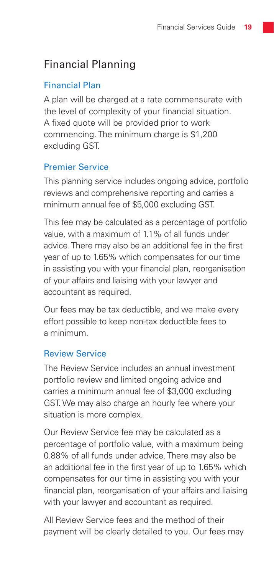## Financial Planning

#### Financial Plan

A plan will be charged at a rate commensurate with the level of complexity of your financial situation. A fixed quote will be provided prior to work commencing. The minimum charge is \$1,200 excluding GST.

#### Premier Service

This planning service includes ongoing advice, portfolio reviews and comprehensive reporting and carries a minimum annual fee of \$5,000 excluding GST.

This fee may be calculated as a percentage of portfolio value, with a maximum of 1.1% of all funds under advice. There may also be an additional fee in the first year of up to 1.65% which compensates for our time in assisting you with your financial plan, reorganisation of your affairs and liaising with your lawyer and accountant as required.

Our fees may be tax deductible, and we make every effort possible to keep non-tax deductible fees to a minimum.

#### Review Service

The Review Service includes an annual investment portfolio review and limited ongoing advice and carries a minimum annual fee of \$3,000 excluding GST. We may also charge an hourly fee where your situation is more complex.

Our Review Service fee may be calculated as a percentage of portfolio value, with a maximum being 0.88% of all funds under advice. There may also be an additional fee in the first year of up to 1.65% which compensates for our time in assisting you with your financial plan, reorganisation of your affairs and liaising with your lawyer and accountant as required.

All Review Service fees and the method of their payment will be clearly detailed to you. Our fees may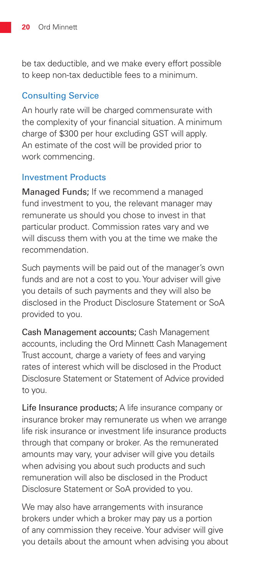be tax deductible, and we make every effort possible to keep non-tax deductible fees to a minimum.

#### Consulting Service

An hourly rate will be charged commensurate with the complexity of your financial situation. A minimum charge of \$300 per hour excluding GST will apply. An estimate of the cost will be provided prior to work commencing.

#### Investment Products

Managed Funds; If we recommend a managed fund investment to you, the relevant manager may remunerate us should you chose to invest in that particular product. Commission rates vary and we will discuss them with you at the time we make the recommendation.

Such payments will be paid out of the manager's own funds and are not a cost to you. Your adviser will give you details of such payments and they will also be disclosed in the Product Disclosure Statement or SoA provided to you.

Cash Management accounts; Cash Management accounts, including the Ord Minnett Cash Management Trust account, charge a variety of fees and varying rates of interest which will be disclosed in the Product Disclosure Statement or Statement of Advice provided to you.

Life Insurance products; A life insurance company or insurance broker may remunerate us when we arrange life risk insurance or investment life insurance products through that company or broker. As the remunerated amounts may vary, your adviser will give you details when advising you about such products and such remuneration will also be disclosed in the Product Disclosure Statement or SoA provided to you.

We may also have arrangements with insurance brokers under which a broker may pay us a portion of any commission they receive. Your adviser will give you details about the amount when advising you about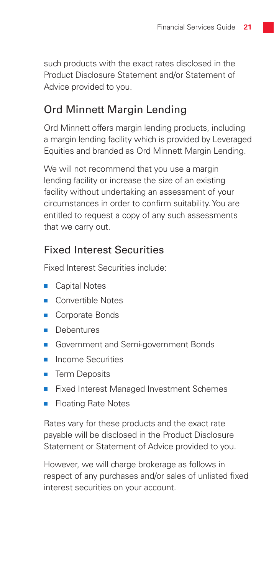such products with the exact rates disclosed in the Product Disclosure Statement and/or Statement of Advice provided to you.

## Ord Minnett Margin Lending

Ord Minnett offers margin lending products, including a margin lending facility which is provided by Leveraged Equities and branded as Ord Minnett Margin Lending.

We will not recommend that you use a margin lending facility or increase the size of an existing facility without undertaking an assessment of your circumstances in order to confirm suitability. You are entitled to request a copy of any such assessments that we carry out.

## Fixed Interest Securities

Fixed Interest Securities include:

- Capital Notes
- Convertible Notes п
- Corporate Bonds  $\overline{\mathbf{u}}$
- **Debentures**
- Government and Semi-government Bonds
- **Income Securities**
- **Term Deposits**
- Fixed Interest Managed Investment Schemes П
- **Floating Rate Notes**

Rates vary for these products and the exact rate payable will be disclosed in the Product Disclosure Statement or Statement of Advice provided to you.

However, we will charge brokerage as follows in respect of any purchases and/or sales of unlisted fixed interest securities on your account.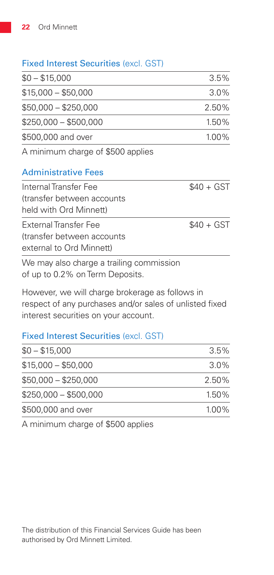#### Fixed Interest Securities (excl. GST)

| $$0 - $15,000$        | $3.5\%$  |
|-----------------------|----------|
| $$15,000 - $50,000$   | $3.0\%$  |
| $$50,000 - $250,000$  | 2.50%    |
| $$250,000 - $500,000$ | 1.50%    |
| \$500,000 and over    | $1.00\%$ |
|                       |          |

A minimum charge of \$500 applies

#### Administrative Fees

| Internal Transfer Fee<br>(transfer between accounts) | $$40 + GST$ |
|------------------------------------------------------|-------------|
| held with Ord Minnett)                               |             |
| External Transfer Fee                                | $$40 + GST$ |
| (transfer between accounts)                          |             |
| external to Ord Minnett)                             |             |
| We may also charge a trailing commission             |             |

We may also charge a trailing commission of up to 0.2% on Term Deposits.

However, we will charge brokerage as follows in respect of any purchases and/or sales of unlisted fixed interest securities on your account.

#### Fixed Interest Securities (excl. GST)

| $3.5\%$  |
|----------|
|          |
| $3.0\%$  |
| $2.50\%$ |
| $1.50\%$ |
| 1.00%    |
|          |

A minimum charge of \$500 applies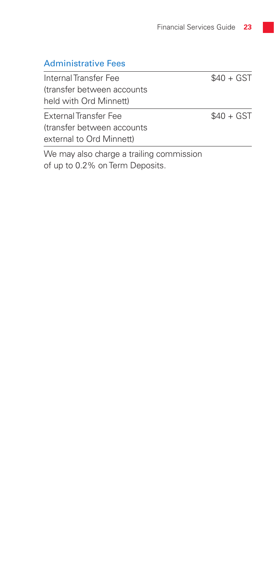#### Administrative Fees

Internal Transfer Fee  $$40 + GST$ (transfer between accounts held with Ord Minnett)

External Transfer Fee \$40 + GST (transfer between accounts external to Ord Minnett)

We may also charge a trailing commission of up to 0.2% on Term Deposits.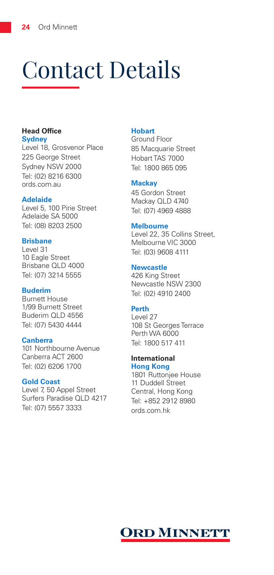## Contact Details

#### **Head Office Sydney**

Level 18, Grosvenor Place 225 George Street Sydney NSW 2000 Tel: (02) 8216 6300 ords.com.au

#### **Adelaide**

Level 5, 100 Pirie Street Adelaide SA 5000 Tel: (08) 8203 2500

#### **Brisbane**

Level 31 10 Eagle Street Brisbane QLD 4000 Tel: (07) 3214 5555

#### **Buderim**

Burnett House 1/99 Burnett Street Buderim QLD 4556 Tel: (07) 5430 4444

#### **Canberra**

101 Northbourne Avenue Canberra ACT 2600 Tel: (02) 6206 1700

#### **Gold Coast**

Level 7, 50 Appel Street Surfers Paradise QLD 4217 Tel: (07) 5557 3333

#### **Hobart**

Ground Floor 85 Macquarie Street Hobart TAS 7000 Tel: 1800 865 095

#### **Mackay**

45 Gordon Street Mackay QLD 4740 Tel: (07) 4969 4888

#### **Melbourne**

Level 22, 35 Collins Street, Melbourne VIC 3000 Tel: (03) 9608 4111

#### **Newcastle**

426 King Street Newcastle NSW 2300 Tel: (02) 4910 2400

#### **Perth**

Level 27 108 St Georges Terrace Perth WA 6000 Tel: 1800 517 411

#### **International**

**Hong Kong** 1801 Ruttonjee House 11 Duddell Street Central, Hong Kong Tel: +852 2912 8980 ords.com.hk

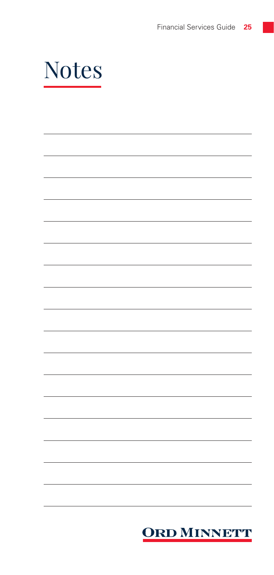

| <b>ORD MINNETT</b> |
|--------------------|